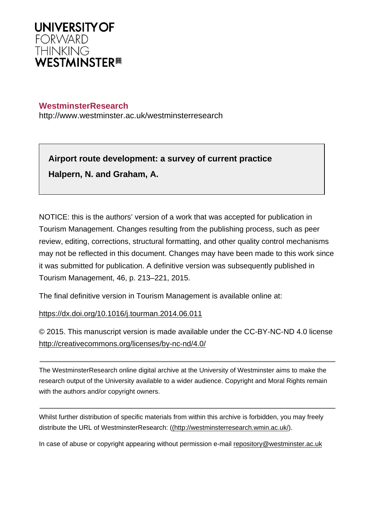

# **WestminsterResearch**

http://www.westminster.ac.uk/westminsterresearch

**Airport route development: a survey of current practice Halpern, N. and Graham, A.**

NOTICE: this is the authors' version of a work that was accepted for publication in Tourism Management. Changes resulting from the publishing process, such as peer review, editing, corrections, structural formatting, and other quality control mechanisms may not be reflected in this document. Changes may have been made to this work since it was submitted for publication. A definitive version was subsequently published in Tourism Management, 46, p. 213–221, 2015.

The final definitive version in Tourism Management is available online at:

<https://dx.doi.org/10.1016/j.tourman.2014.06.011>

© 2015. This manuscript version is made available under the CC-BY-NC-ND 4.0 license <http://creativecommons.org/licenses/by-nc-nd/4.0/>

The WestminsterResearch online digital archive at the University of Westminster aims to make the research output of the University available to a wider audience. Copyright and Moral Rights remain with the authors and/or copyright owners.

Whilst further distribution of specific materials from within this archive is forbidden, you may freely distribute the URL of WestminsterResearch: [\(\(http://westminsterresearch.wmin.ac.uk/](http://westminsterresearch.wmin.ac.uk/)).

In case of abuse or copyright appearing without permission e-mail <repository@westminster.ac.uk>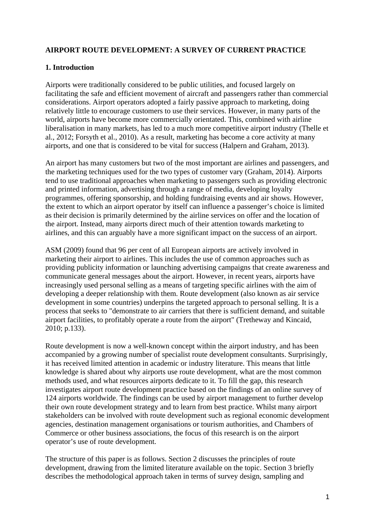# **AIRPORT ROUTE DEVELOPMENT: A SURVEY OF CURRENT PRACTICE**

# **1. Introduction**

Airports were traditionally considered to be public utilities, and focused largely on facilitating the safe and efficient movement of aircraft and passengers rather than commercial considerations. Airport operators adopted a fairly passive approach to marketing, doing relatively little to encourage customers to use their services. However, in many parts of the world, airports have become more commercially orientated. This, combined with airline liberalisation in many markets, has led to a much more competitive airport industry (Thelle et al., 2012; Forsyth et al., 2010). As a result, marketing has become a core activity at many airports, and one that is considered to be vital for success (Halpern and Graham, 2013).

An airport has many customers but two of the most important are airlines and passengers, and the marketing techniques used for the two types of customer vary (Graham, 2014). Airports tend to use traditional approaches when marketing to passengers such as providing electronic and printed information, advertising through a range of media, developing loyalty programmes, offering sponsorship, and holding fundraising events and air shows. However, the extent to which an airport operator by itself can influence a passenger's choice is limited as their decision is primarily determined by the airline services on offer and the location of the airport. Instead, many airports direct much of their attention towards marketing to airlines, and this can arguably have a more significant impact on the success of an airport.

ASM (2009) found that 96 per cent of all European airports are actively involved in marketing their airport to airlines. This includes the use of common approaches such as providing publicity information or launching advertising campaigns that create awareness and communicate general messages about the airport. However, in recent years, airports have increasingly used personal selling as a means of targeting specific airlines with the aim of developing a deeper relationship with them. Route development (also known as air service development in some countries) underpins the targeted approach to personal selling. It is a process that seeks to "demonstrate to air carriers that there is sufficient demand, and suitable airport facilities, to profitably operate a route from the airport" (Tretheway and Kincaid, 2010; p.133).

Route development is now a well-known concept within the airport industry, and has been accompanied by a growing number of specialist route development consultants. Surprisingly, it has received limited attention in academic or industry literature. This means that little knowledge is shared about why airports use route development, what are the most common methods used, and what resources airports dedicate to it. To fill the gap, this research investigates airport route development practice based on the findings of an online survey of 124 airports worldwide. The findings can be used by airport management to further develop their own route development strategy and to learn from best practice. Whilst many airport stakeholders can be involved with route development such as regional economic development agencies, destination management organisations or tourism authorities, and Chambers of Commerce or other business associations, the focus of this research is on the airport operator's use of route development.

The structure of this paper is as follows. Section 2 discusses the principles of route development, drawing from the limited literature available on the topic. Section 3 briefly describes the methodological approach taken in terms of survey design, sampling and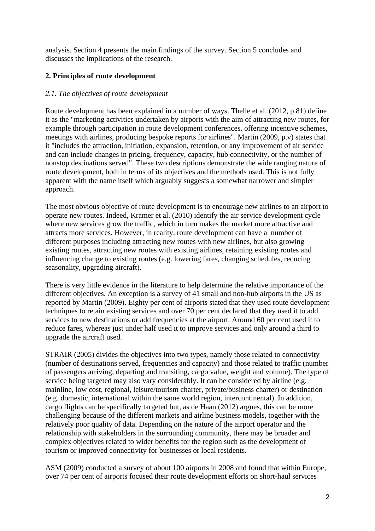analysis. Section 4 presents the main findings of the survey. Section 5 concludes and discusses the implications of the research.

# **2. Principles of route development**

# *2.1. The objectives of route development*

Route development has been explained in a number of ways. Thelle et al. (2012, p.81) define it as the "marketing activities undertaken by airports with the aim of attracting new routes, for example through participation in route development conferences, offering incentive schemes, meetings with airlines, producing bespoke reports for airlines". Martin (2009, p.v) states that it "includes the attraction, initiation, expansion, retention, or any improvement of air service and can include changes in pricing, frequency, capacity, hub connectivity, or the number of nonstop destinations served". These two descriptions demonstrate the wide ranging nature of route development, both in terms of its objectives and the methods used. This is not fully apparent with the name itself which arguably suggests a somewhat narrower and simpler approach.

The most obvious objective of route development is to encourage new airlines to an airport to operate new routes. Indeed, Kramer et al. (2010) identify the air service development cycle where new services grow the traffic, which in turn makes the market more attractive and attracts more services. However, in reality, route development can have a number of different purposes including attracting new routes with new airlines, but also growing existing routes, attracting new routes with existing airlines, retaining existing routes and influencing change to existing routes (e.g. lowering fares, changing schedules, reducing seasonality, upgrading aircraft).

There is very little evidence in the literature to help determine the relative importance of the different objectives. An exception is a survey of 41 small and non-hub airports in the US as reported by Martin (2009). Eighty per cent of airports stated that they used route development techniques to retain existing services and over 70 per cent declared that they used it to add services to new destinations or add frequencies at the airport. Around 60 per cent used it to reduce fares, whereas just under half used it to improve services and only around a third to upgrade the aircraft used.

STRAIR (2005) divides the objectives into two types, namely those related to connectivity (number of destinations served, frequencies and capacity) and those related to traffic (number of passengers arriving, departing and transiting, cargo value, weight and volume). The type of service being targeted may also vary considerably. It can be considered by airline (e.g. mainline, low cost, regional, leisure/tourism charter, private/business charter) or destination (e.g. domestic, international within the same world region, intercontinental). In addition, cargo flights can be specifically targeted but, as de Haan (2012) argues, this can be more challenging because of the different markets and airline business models, together with the relatively poor quality of data. Depending on the nature of the airport operator and the relationship with stakeholders in the surrounding community, there may be broader and complex objectives related to wider benefits for the region such as the development of tourism or improved connectivity for businesses or local residents.

ASM (2009) conducted a survey of about 100 airports in 2008 and found that within Europe, over 74 per cent of airports focused their route development efforts on short-haul services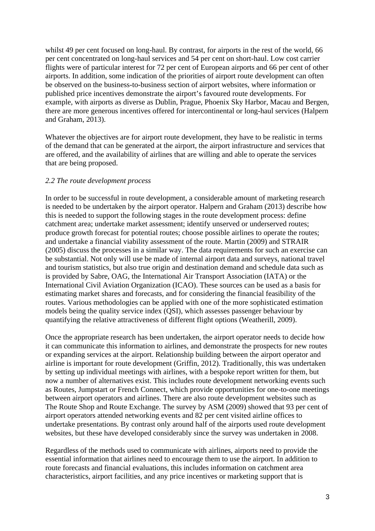whilst 49 per cent focused on long-haul. By contrast, for airports in the rest of the world, 66 per cent concentrated on long-haul services and 54 per cent on short-haul. Low cost carrier flights were of particular interest for 72 per cent of European airports and 66 per cent of other airports. In addition, some indication of the priorities of airport route development can often be observed on the business-to-business section of airport websites, where information or published price incentives demonstrate the airport's favoured route developments. For example, with airports as diverse as Dublin, Prague, Phoenix Sky Harbor, Macau and Bergen, there are more generous incentives offered for intercontinental or long-haul services (Halpern and Graham, 2013).

Whatever the objectives are for airport route development, they have to be realistic in terms of the demand that can be generated at the airport, the airport infrastructure and services that are offered, and the availability of airlines that are willing and able to operate the services that are being proposed.

### *2.2 The route development process*

In order to be successful in route development, a considerable amount of marketing research is needed to be undertaken by the airport operator. Halpern and Graham (2013) describe how this is needed to support the following stages in the route development process: define catchment area; undertake market assessment; identify unserved or underserved routes; produce growth forecast for potential routes; choose possible airlines to operate the routes; and undertake a financial viability assessment of the route. Martin (2009) and STRAIR (2005) discuss the processes in a similar way. The data requirements for such an exercise can be substantial. Not only will use be made of internal airport data and surveys, national travel and tourism statistics, but also true origin and destination demand and schedule data such as is provided by Sabre, OAG, the International Air Transport Association (IATA) or the International Civil Aviation Organization (ICAO). These sources can be used as a basis for estimating market shares and forecasts, and for considering the financial feasibility of the routes. Various methodologies can be applied with one of the more sophisticated estimation models being the quality service index (QSI), which assesses passenger behaviour by quantifying the relative attractiveness of different flight options (Weatherill, 2009).

Once the appropriate research has been undertaken, the airport operator needs to decide how it can communicate this information to airlines, and demonstrate the prospects for new routes or expanding services at the airport. Relationship building between the airport operator and airline is important for route development (Griffin, 2012). Traditionally, this was undertaken by setting up individual meetings with airlines, with a bespoke report written for them, but now a number of alternatives exist. This includes route development networking events such as Routes, Jumpstart or French Connect, which provide opportunities for one-to-one meetings between airport operators and airlines. There are also route development websites such as The Route Shop and Route Exchange. The survey by ASM (2009) showed that 93 per cent of airport operators attended networking events and 82 per cent visited airline offices to undertake presentations. By contrast only around half of the airports used route development websites, but these have developed considerably since the survey was undertaken in 2008.

Regardless of the methods used to communicate with airlines, airports need to provide the essential information that airlines need to encourage them to use the airport. In addition to route forecasts and financial evaluations, this includes information on catchment area characteristics, airport facilities, and any price incentives or marketing support that is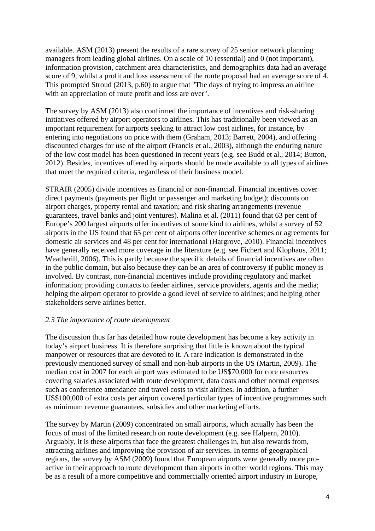available. ASM (2013) present the results of a rare survey of 25 senior network planning managers from leading global airlines. On a scale of 10 (essential) and 0 (not important), information provision, catchment area characteristics, and demographics data had an average score of 9, whilst a profit and loss assessment of the route proposal had an average score of 4. This prompted Stroud (2013, p.60) to argue that "The days of trying to impress an airline with an appreciation of route profit and loss are over".

The survey by ASM (2013) also confirmed the importance of incentives and risk-sharing initiatives offered by airport operators to airlines. This has traditionally been viewed as an important requirement for airports seeking to attract low cost airlines, for instance, by entering into negotiations on price with them (Graham, 2013; Barrett, 2004), and offering discounted charges for use of the airport (Francis et al., 2003), although the enduring nature of the low cost model has been questioned in recent years (e.g. see Budd et al., 2014; Button, 2012). Besides, incentives offered by airports should be made available to all types of airlines that meet the required criteria, regardless of their business model.

STRAIR (2005) divide incentives as financial or non-financial. Financial incentives cover direct payments (payments per flight or passenger and marketing budget); discounts on airport charges, property rental and taxation; and risk sharing arrangements (revenue guarantees, travel banks and joint ventures). Malina et al. (2011) found that 63 per cent of Europe's 200 largest airports offer incentives of some kind to airlines, whilst a survey of 52 airports in the US found that 65 per cent of airports offer incentive schemes or agreements for domestic air services and 48 per cent for international (Hargrove, 2010). Financial incentives have generally received more coverage in the literature (e.g. see Fichert and Klophaus, 2011; Weatherill, 2006). This is partly because the specific details of financial incentives are often in the public domain, but also because they can be an area of controversy if public money is involved. By contrast, non-financial incentives include providing regulatory and market information; providing contacts to feeder airlines, service providers, agents and the media; helping the airport operator to provide a good level of service to airlines; and helping other stakeholders serve airlines better.

## *2.3 The importance of route development*

The discussion thus far has detailed how route development has become a key activity in today's airport business. It is therefore surprising that little is known about the typical manpower or resources that are devoted to it. A rare indication is demonstrated in the previously mentioned survey of small and non-hub airports in the US (Martin, 2009). The median cost in 2007 for each airport was estimated to be US\$70,000 for core resources covering salaries associated with route development, data costs and other normal expenses such as conference attendance and travel costs to visit airlines. In addition, a further US\$100,000 of extra costs per airport covered particular types of incentive programmes such as minimum revenue guarantees, subsidies and other marketing efforts.

The survey by Martin (2009) concentrated on small airports, which actually has been the focus of most of the limited research on route development (e.g. see Halpern, 2010). Arguably, it is these airports that face the greatest challenges in, but also rewards from, attracting airlines and improving the provision of air services. In terms of geographical regions, the survey by ASM (2009) found that European airports were generally more proactive in their approach to route development than airports in other world regions. This may be as a result of a more competitive and commercially oriented airport industry in Europe,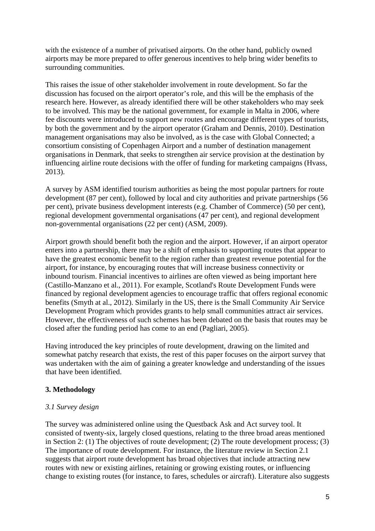with the existence of a number of privatised airports. On the other hand, publicly owned airports may be more prepared to offer generous incentives to help bring wider benefits to surrounding communities.

This raises the issue of other stakeholder involvement in route development. So far the discussion has focused on the airport operator's role, and this will be the emphasis of the research here. However, as already identified there will be other stakeholders who may seek to be involved. This may be the national government, for example in Malta in 2006, where fee discounts were introduced to support new routes and encourage different types of tourists, by both the government and by the airport operator (Graham and Dennis, 2010). Destination management organisations may also be involved, as is the case with Global Connected; a consortium consisting of Copenhagen Airport and a number of destination management organisations in Denmark, that seeks to strengthen air service provision at the destination by influencing airline route decisions with the offer of funding for marketing campaigns (Hvass, 2013).

A survey by ASM identified tourism authorities as being the most popular partners for route development (87 per cent), followed by local and city authorities and private partnerships (56 per cent), private business development interests (e.g. Chamber of Commerce) (50 per cent), regional development governmental organisations (47 per cent), and regional development non-governmental organisations (22 per cent) (ASM, 2009).

Airport growth should benefit both the region and the airport. However, if an airport operator enters into a partnership, there may be a shift of emphasis to supporting routes that appear to have the greatest economic benefit to the region rather than greatest revenue potential for the airport, for instance, by encouraging routes that will increase business connectivity or inbound tourism. Financial incentives to airlines are often viewed as being important here (Castillo-Manzano et al., 2011). For example, Scotland's Route Development Funds were financed by regional development agencies to encourage traffic that offers regional economic benefits (Smyth at al., 2012). Similarly in the US, there is the Small Community Air Service Development Program which provides grants to help small communities attract air services. However, the effectiveness of such schemes has been debated on the basis that routes may be closed after the funding period has come to an end (Pagliari, 2005).

Having introduced the key principles of route development, drawing on the limited and somewhat patchy research that exists, the rest of this paper focuses on the airport survey that was undertaken with the aim of gaining a greater knowledge and understanding of the issues that have been identified.

# **3. Methodology**

## *3.1 Survey design*

The survey was administered online using the Questback Ask and Act survey tool. It consisted of twenty-six, largely closed questions, relating to the three broad areas mentioned in Section 2: (1) The objectives of route development; (2) The route development process; (3) The importance of route development. For instance, the literature review in Section 2.1 suggests that airport route development has broad objectives that include attracting new routes with new or existing airlines, retaining or growing existing routes, or influencing change to existing routes (for instance, to fares, schedules or aircraft). Literature also suggests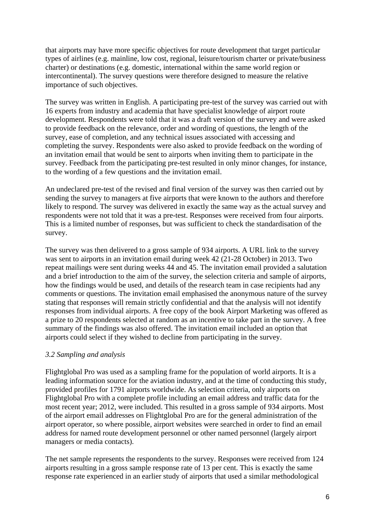that airports may have more specific objectives for route development that target particular types of airlines (e.g. mainline, low cost, regional, leisure/tourism charter or private/business charter) or destinations (e.g. domestic, international within the same world region or intercontinental). The survey questions were therefore designed to measure the relative importance of such objectives.

The survey was written in English. A participating pre-test of the survey was carried out with 16 experts from industry and academia that have specialist knowledge of airport route development. Respondents were told that it was a draft version of the survey and were asked to provide feedback on the relevance, order and wording of questions, the length of the survey, ease of completion, and any technical issues associated with accessing and completing the survey. Respondents were also asked to provide feedback on the wording of an invitation email that would be sent to airports when inviting them to participate in the survey. Feedback from the participating pre-test resulted in only minor changes, for instance, to the wording of a few questions and the invitation email.

An undeclared pre-test of the revised and final version of the survey was then carried out by sending the survey to managers at five airports that were known to the authors and therefore likely to respond. The survey was delivered in exactly the same way as the actual survey and respondents were not told that it was a pre-test. Responses were received from four airports. This is a limited number of responses, but was sufficient to check the standardisation of the survey.

The survey was then delivered to a gross sample of 934 airports. A URL link to the survey was sent to airports in an invitation email during week 42 (21-28 October) in 2013. Two repeat mailings were sent during weeks 44 and 45. The invitation email provided a salutation and a brief introduction to the aim of the survey, the selection criteria and sample of airports, how the findings would be used, and details of the research team in case recipients had any comments or questions. The invitation email emphasised the anonymous nature of the survey stating that responses will remain strictly confidential and that the analysis will not identify responses from individual airports. A free copy of the book Airport Marketing was offered as a prize to 20 respondents selected at random as an incentive to take part in the survey. A free summary of the findings was also offered. The invitation email included an option that airports could select if they wished to decline from participating in the survey.

# *3.2 Sampling and analysis*

Flightglobal Pro was used as a sampling frame for the population of world airports. It is a leading information source for the aviation industry, and at the time of conducting this study, provided profiles for 1791 airports worldwide. As selection criteria, only airports on Flightglobal Pro with a complete profile including an email address and traffic data for the most recent year; 2012, were included. This resulted in a gross sample of 934 airports. Most of the airport email addresses on Flightglobal Pro are for the general administration of the airport operator, so where possible, airport websites were searched in order to find an email address for named route development personnel or other named personnel (largely airport managers or media contacts).

The net sample represents the respondents to the survey. Responses were received from 124 airports resulting in a gross sample response rate of 13 per cent. This is exactly the same response rate experienced in an earlier study of airports that used a similar methodological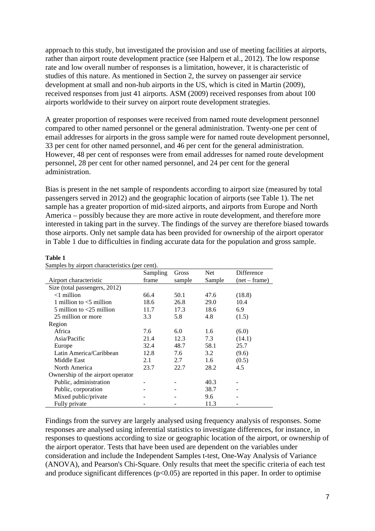approach to this study, but investigated the provision and use of meeting facilities at airports, rather than airport route development practice (see Halpern et al., 2012). The low response rate and low overall number of responses is a limitation, however, it is characteristic of studies of this nature. As mentioned in Section 2, the survey on passenger air service development at small and non-hub airports in the US, which is cited in Martin (2009), received responses from just 41 airports. ASM (2009) received responses from about 100 airports worldwide to their survey on airport route development strategies.

A greater proportion of responses were received from named route development personnel compared to other named personnel or the general administration. Twenty-one per cent of email addresses for airports in the gross sample were for named route development personnel, 33 per cent for other named personnel, and 46 per cent for the general administration. However, 48 per cent of responses were from email addresses for named route development personnel, 28 per cent for other named personnel, and 24 per cent for the general administration.

Bias is present in the net sample of respondents according to airport size (measured by total passengers served in 2012) and the geographic location of airports (see Table 1). The net sample has a greater proportion of mid-sized airports, and airports from Europe and North America – possibly because they are more active in route development, and therefore more interested in taking part in the survey. The findings of the survey are therefore biased towards those airports. Only net sample data has been provided for ownership of the airport operator in Table 1 due to difficulties in finding accurate data for the population and gross sample.

| Samples by airport characteristics (per cent). |          |        |               |                 |  |  |  |
|------------------------------------------------|----------|--------|---------------|-----------------|--|--|--|
|                                                | Sampling | Gross  | <b>Net</b>    | Difference      |  |  |  |
| Airport characteristic                         | frame    | sample | Sample        | $(net - frame)$ |  |  |  |
| Size (total passengers, 2012)                  |          |        |               |                 |  |  |  |
| $<$ 1 million                                  | 66.4     | 50.1   | 47.6          | (18.8)          |  |  |  |
| 1 million to $<$ 5 million                     | 18.6     | 26.8   | 29.0          | 10.4            |  |  |  |
| 5 million to $<$ 25 million                    | 11.7     | 17.3   | 18.6          | 6.9             |  |  |  |
| 25 million or more                             | 3.3      | 5.8    | 4.8           | (1.5)           |  |  |  |
| Region                                         |          |        |               |                 |  |  |  |
| Africa                                         | 7.6      | 6.0    | 1.6           | (6.0)           |  |  |  |
| Asia/Pacific                                   | 21.4     | 12.3   | 7.3           | (14.1)          |  |  |  |
| Europe                                         | 32.4     | 48.7   | 58.1          | 25.7            |  |  |  |
| Latin America/Caribbean                        | 12.8     | 7.6    | 3.2           | (9.6)           |  |  |  |
| Middle East                                    | 2.1      | 2.7    | $1.6^{\circ}$ | (0.5)           |  |  |  |
| North America                                  | 23.7     | 22.7   | 28.2          | 4.5             |  |  |  |
| Ownership of the airport operator              |          |        |               |                 |  |  |  |
| Public, administration                         | -        |        | 40.3          |                 |  |  |  |
| Public, corporation                            |          |        | 38.7          |                 |  |  |  |
| Mixed public/private                           |          |        | 9.6           |                 |  |  |  |
| Fully private                                  |          |        | 11.3          |                 |  |  |  |

**Table 1**

Findings from the survey are largely analysed using frequency analysis of responses. Some responses are analysed using inferential statistics to investigate differences, for instance, in responses to questions according to size or geographic location of the airport, or ownership of the airport operator. Tests that have been used are dependent on the variables under consideration and include the Independent Samples t-test, One-Way Analysis of Variance (ANOVA), and Pearson's Chi-Square. Only results that meet the specific criteria of each test and produce significant differences  $(p<0.05)$  are reported in this paper. In order to optimise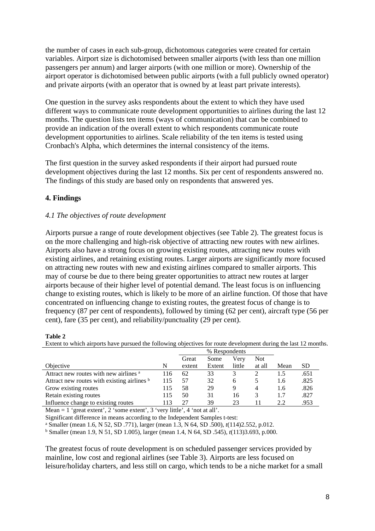the number of cases in each sub-group, dichotomous categories were created for certain variables. Airport size is dichotomised between smaller airports (with less than one million passengers per annum) and larger airports (with one million or more). Ownership of the airport operator is dichotomised between public airports (with a full publicly owned operator) and private airports (with an operator that is owned by at least part private interests).

One question in the survey asks respondents about the extent to which they have used different ways to communicate route development opportunities to airlines during the last 12 months. The question lists ten items (ways of communication) that can be combined to provide an indication of the overall extent to which respondents communicate route development opportunities to airlines. Scale reliability of the ten items is tested using Cronbach's Alpha, which determines the internal consistency of the items.

The first question in the survey asked respondents if their airport had pursued route development objectives during the last 12 months. Six per cent of respondents answered no. The findings of this study are based only on respondents that answered yes.

## **4. Findings**

## *4.1 The objectives of route development*

Airports pursue a range of route development objectives (see Table 2). The greatest focus is on the more challenging and high-risk objective of attracting new routes with new airlines. Airports also have a strong focus on growing existing routes, attracting new routes with existing airlines, and retaining existing routes. Larger airports are significantly more focused on attracting new routes with new and existing airlines compared to smaller airports. This may of course be due to there being greater opportunities to attract new routes at larger airports because of their higher level of potential demand. The least focus is on influencing change to existing routes, which is likely to be more of an airline function. Of those that have concentrated on influencing change to existing routes, the greatest focus of change is to frequency (87 per cent of respondents), followed by timing (62 per cent), aircraft type (56 per cent), fare (35 per cent), and reliability/punctuality (29 per cent).

#### **Table 2**

Extent to which airports have pursued the following objectives for route development during the last 12 months.

|                                                   |     | % Respondents |        |              |            |      |      |
|---------------------------------------------------|-----|---------------|--------|--------------|------------|------|------|
|                                                   |     | Great         | Some   | Verv         | <b>Not</b> |      |      |
| Objective                                         | N   | extent        | Extent | little       | at all     | Mean | SD   |
| Attract new routes with new airlines <sup>a</sup> | 116 | 62            | 33     |              |            | 1.5  | .651 |
| Attract new routes with existing airlines b       | 115 | 57            | 32     | <sub>b</sub> |            | 1.6  | .825 |
| Grow existing routes                              | 115 | 58            | 29     | 9            | 4          | 1.6  | .826 |
| Retain existing routes                            | 115 | 50            | 31     | 16           |            | 1.7  | .827 |
| Influence change to existing routes               | 113 | 27            | 39     | 23           |            | 2.2  | .953 |

Mean  $= 1$  'great extent', 2 'some extent', 3 'very little', 4 'not at all'.

Significant difference in means according to the Independent Samples t-test:

a Smaller (mean 1.6, N 52, SD .771), larger (mean 1.3, N 64, SD .500), *t*(114)2.552, p.012.

b Smaller (mean 1.9, N 51, SD 1.005), larger (mean 1.4, N 64, SD .545), *t*(113)3.693, p.000.

The greatest focus of route development is on scheduled passenger services provided by mainline, low cost and regional airlines (see Table 3). Airports are less focused on leisure/holiday charters, and less still on cargo, which tends to be a niche market for a small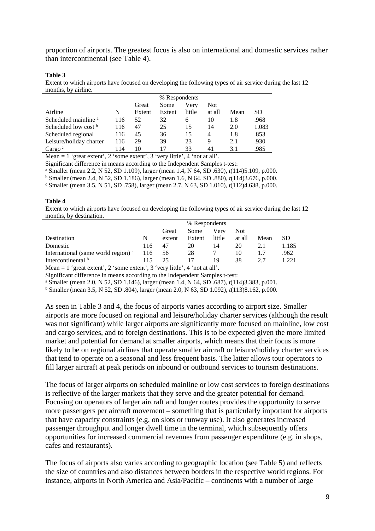proportion of airports. The greatest focus is also on international and domestic services rather than intercontinental (see Table 4).

#### **Table 3**

Extent to which airports have focused on developing the following types of air service during the last 12 months, by airline.

|                                 |     |        | % Respondents |        |        |      |           |
|---------------------------------|-----|--------|---------------|--------|--------|------|-----------|
|                                 |     | Great  | Some          | Very   | Not    |      |           |
| Airline                         | N   | Extent | Extent        | little | at all | Mean | <b>SD</b> |
| Scheduled mainline <sup>a</sup> | 116 | 52     | 32            | 6      | 10     | 1.8  | .968      |
| Scheduled low cost b            | 116 | 47     | 25            | 15     | 14     | 2.0  | 1.083     |
| Scheduled regional              | 116 | 45     | 36            | 15     | 4      | 1.8  | .853      |
| Leisure/holiday charter         | 116 | 29     | 39            | 23     | 9      | 2.1  | .930      |
| Cargo <sup>c</sup>              | 114 | 10     | 17            | 33     | 41     | 3.1  | .985      |

Mean  $= 1$  'great extent', 2 'some extent', 3 'very little', 4 'not at all'.

Significant difference in means according to the Independent Samples t-test:

a Smaller (mean 2.2, N 52, SD 1.109), larger (mean 1.4, N 64, SD .630), *t*(114)5.109, p.000.

b Smaller (mean 2.4, N 52, SD 1.186), larger (mean 1.6, N 64, SD .880), *t*(114)3.676, p.000.

c Smaller (mean 3.5, N 51, SD .758), larger (mean 2.7, N 63, SD 1.010), *t*(112)4.638, p.000.

#### **Table 4**

Extent to which airports have focused on developing the following types of air service during the last 12 months, by destination.

|                                                |     | % Respondents |        |        |        |      |       |  |
|------------------------------------------------|-----|---------------|--------|--------|--------|------|-------|--|
|                                                |     | Great         | Some   | Verv   | Not    |      |       |  |
| Destination                                    | N   | extent        | Extent | little | at all | Mean | SD    |  |
| Domestic                                       | 116 | 47            | 20     | 14     | 20     |      | 1.185 |  |
| International (same world region) <sup>a</sup> | 116 | 56            | 28     |        | 10     |      | .962  |  |
| Intercontinental b                             | 15  |               |        | 19     | 38     |      | 221   |  |

Mean  $= 1$  'great extent', 2 'some extent', 3 'very little', 4 'not at all'.

Significant difference in means according to the Independent Samples t-test:

a Smaller (mean 2.0, N 52, SD 1.146), larger (mean 1.4, N 64, SD .687), *t*(114)3.383, p.001.

b Smaller (mean 3.5, N 52, SD .804), larger (mean 2.0, N 63, SD 1.092), *t*(113)8.162, p.000.

As seen in Table 3 and 4, the focus of airports varies according to airport size. Smaller airports are more focused on regional and leisure/holiday charter services (although the result was not significant) while larger airports are significantly more focused on mainline, low cost and cargo services, and to foreign destinations. This is to be expected given the more limited market and potential for demand at smaller airports, which means that their focus is more likely to be on regional airlines that operate smaller aircraft or leisure/holiday charter services that tend to operate on a seasonal and less frequent basis. The latter allows tour operators to fill larger aircraft at peak periods on inbound or outbound services to tourism destinations.

The focus of larger airports on scheduled mainline or low cost services to foreign destinations is reflective of the larger markets that they serve and the greater potential for demand. Focusing on operators of larger aircraft and longer routes provides the opportunity to serve more passengers per aircraft movement – something that is particularly important for airports that have capacity constraints (e.g. on slots or runway use). It also generates increased passenger throughput and longer dwell time in the terminal, which subsequently offers opportunities for increased commercial revenues from passenger expenditure (e.g. in shops, cafes and restaurants).

The focus of airports also varies according to geographic location (see Table 5) and reflects the size of countries and also distances between borders in the respective world regions. For instance, airports in North America and Asia/Pacific – continents with a number of large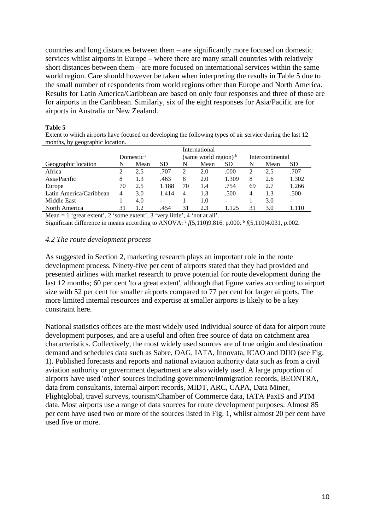countries and long distances between them – are significantly more focused on domestic services whilst airports in Europe – where there are many small countries with relatively short distances between them – are more focused on international services within the same world region. Care should however be taken when interpreting the results in Table 5 due to the small number of respondents from world regions other than Europe and North America. Results for Latin America/Caribbean are based on only four responses and three of those are for airports in the Caribbean. Similarly, six of the eight responses for Asia/Pacific are for airports in Australia or New Zealand.

### **Table 5**

Extent to which airports have focused on developing the following types of air service during the last 12 months, by geographic location.

|                         |    |                       |                          |    | International           |       |    |                  |           |  |
|-------------------------|----|-----------------------|--------------------------|----|-------------------------|-------|----|------------------|-----------|--|
|                         |    | Domestic <sup>a</sup> |                          |    | (same world region) $b$ |       |    | Intercontinental |           |  |
| Geographic location     | N  | Mean                  | SD                       | N  | Mean                    | SD    | N  | Mean             | <b>SD</b> |  |
| Africa                  |    | 2.5                   | .707                     |    | 2.0                     | .000  |    | 2.5              | .707      |  |
| Asia/Pacific            | 8  | 1.3                   | .463                     | 8  | 2.0                     | 1.309 | 8  | 2.6              | 1.302     |  |
| Europe                  | 70 | 2.5                   | 1.188                    | 70 | 1.4                     | .754  | 69 | 2.7              | 1.266     |  |
| Latin America/Caribbean | 4  | 3.0                   | 1.414                    | 4  | 1.3                     | .500  | 4  | 1.3              | .500      |  |
| Middle East             |    | 4.0                   | $\overline{\phantom{0}}$ |    | 1.0                     |       |    | 3.0              |           |  |
| North America           | 31 | 1.2                   | .454                     | 31 | 2.3                     | 1.125 | 31 | 3.0              | 1.110     |  |

Mean  $= 1$  'great extent', 2 'some extent', 3 'very little', 4 'not at all'.

Significant difference in means according to ANOVA: <sup>a</sup> *f*(5,110)9.816, p.000. <sup>b</sup> *f*(5,110)4.031, p.002.

### *4.2 The route development process*

As suggested in Section 2, marketing research plays an important role in the route development process. Ninety-five per cent of airports stated that they had provided and presented airlines with market research to prove potential for route development during the last 12 months; 60 per cent 'to a great extent', although that figure varies according to airport size with 52 per cent for smaller airports compared to 77 per cent for larger airports. The more limited internal resources and expertise at smaller airports is likely to be a key constraint here.

National statistics offices are the most widely used individual source of data for airport route development purposes, and are a useful and often free source of data on catchment area characteristics. Collectively, the most widely used sources are of true origin and destination demand and schedules data such as Sabre, OAG, IATA, Innovata, ICAO and DIIO (see Fig. 1). Published forecasts and reports and national aviation authority data such as from a civil aviation authority or government department are also widely used. A large proportion of airports have used 'other' sources including government/immigration records, BEONTRA, data from consultants, internal airport records, MIDT, ARC, CAPA, Data Miner, Flightglobal, travel surveys, tourism/Chamber of Commerce data, IATA PaxIS and PTM data. Most airports use a range of data sources for route development purposes. Almost 85 per cent have used two or more of the sources listed in Fig. 1, whilst almost 20 per cent have used five or more.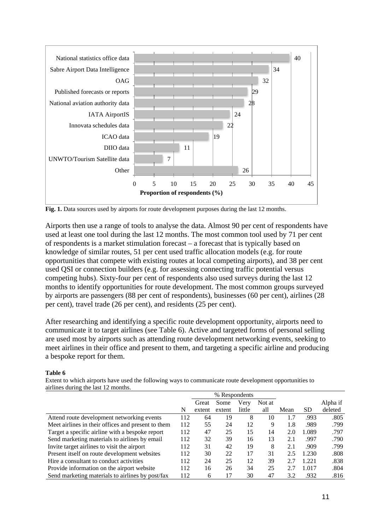

Fig. 1. Data sources used by airports for route development purposes during the last 12 months.

Airports then use a range of tools to analyse the data. Almost 90 per cent of respondents have used at least one tool during the last 12 months. The most common tool used by 71 per cent of respondents is a market stimulation forecast – a forecast that is typically based on knowledge of similar routes, 51 per cent used traffic allocation models (e.g. for route opportunities that compete with existing routes at local competing airports), and 38 per cent used QSI or connection builders (e.g. for assessing connecting traffic potential versus competing hubs). Sixty-four per cent of respondents also used surveys during the last 12 months to identify opportunities for route development. The most common groups surveyed by airports are passengers (88 per cent of respondents), businesses (60 per cent), airlines (28 per cent), travel trade (26 per cent), and residents (25 per cent).

After researching and identifying a specific route development opportunity, airports need to communicate it to target airlines (see Table 6). Active and targeted forms of personal selling are used most by airports such as attending route development networking events, seeking to meet airlines in their office and present to them, and targeting a specific airline and producing a bespoke report for them.

### **Table 6**

Extent to which airports have used the following ways to communicate route development opportunities to airlines during the last 12 months.

|                                                    |     |        | % Respondents |        |        |      |       |          |
|----------------------------------------------------|-----|--------|---------------|--------|--------|------|-------|----------|
|                                                    |     | Great  | Some          | Verv   | Not at |      |       | Alpha if |
|                                                    | N   | extent | extent        | little | all    | Mean | SD.   | deleted  |
| Attend route development networking events         | 112 | 64     | 19            | 8      | 10     | 1.7  | .993  | .805     |
| Meet airlines in their offices and present to them | 112 | 55     | 24            | 12     | 9      | 1.8  | .989  | .799     |
| Target a specific airline with a bespoke report    | 112 | 47     | 25            | 15     | 14     | 2.0  | 1.089 | .797     |
| Send marketing materials to airlines by email      | 112 | 32     | 39            | 16     | 13     | 2.1  | .997  | .790     |
| Invite target airlines to visit the airport        | 112 | 31     | 42            | 19     | 8      | 2.1  | .909  | .799     |
| Present itself on route development websites       | 112 | 30     | 22            | 17     | 31     | 2.5  | 1.230 | .808     |
| Hire a consultant to conduct activities            | 112 | 24     | 25            | 12     | 39     | 2.7  | 1.221 | .838     |
| Provide information on the airport website         | 112 | 16     | 26            | 34     | 25     | 2.7  | 1.017 | .804     |
| Send marketing materials to airlines by post/fax   | 112 | 6      | 17            | 30     | 47     | 3.2  | .932  | .816     |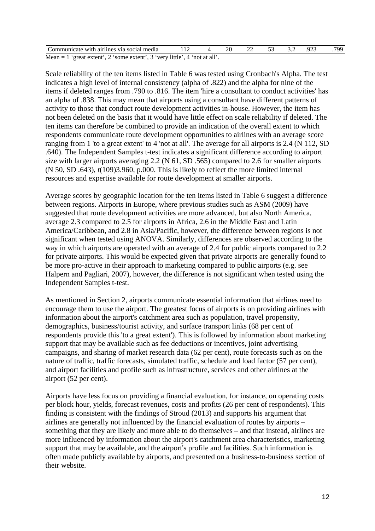| Communicate with airlines via social media $112$ $4$ $20$ $22$ $53$ $3.2$ $3.2$ $3.2$ $799$ |  |  |  |  |
|---------------------------------------------------------------------------------------------|--|--|--|--|
| Mean $= 1$ 'great extent', 2 'some extent', 3 'very little', 4 'not at all'.                |  |  |  |  |

Scale reliability of the ten items listed in Table 6 was tested using Cronbach's Alpha. The test indicates a high level of internal consistency (alpha of .822) and the alpha for nine of the items if deleted ranges from .790 to .816. The item 'hire a consultant to conduct activities' has an alpha of .838. This may mean that airports using a consultant have different patterns of activity to those that conduct route development activities in-house. However, the item has not been deleted on the basis that it would have little effect on scale reliability if deleted. The ten items can therefore be combined to provide an indication of the overall extent to which respondents communicate route development opportunities to airlines with an average score ranging from 1 'to a great extent' to 4 'not at all'. The average for all airports is 2.4 (N 112, SD .640). The Independent Samples t-test indicates a significant difference according to airport size with larger airports averaging 2.2 (N 61, SD .565) compared to 2.6 for smaller airports (N 50, SD .643), *t*(109)3.960, p.000. This is likely to reflect the more limited internal resources and expertise available for route development at smaller airports.

Average scores by geographic location for the ten items listed in Table 6 suggest a difference between regions. Airports in Europe, where previous studies such as ASM (2009) have suggested that route development activities are more advanced, but also North America, average 2.3 compared to 2.5 for airports in Africa, 2.6 in the Middle East and Latin America/Caribbean, and 2.8 in Asia/Pacific, however, the difference between regions is not significant when tested using ANOVA. Similarly, differences are observed according to the way in which airports are operated with an average of 2.4 for public airports compared to 2.2 for private airports. This would be expected given that private airports are generally found to be more pro-active in their approach to marketing compared to public airports (e.g. see Halpern and Pagliari, 2007), however, the difference is not significant when tested using the Independent Samples t-test.

As mentioned in Section 2, airports communicate essential information that airlines need to encourage them to use the airport. The greatest focus of airports is on providing airlines with information about the airport's catchment area such as population, travel propensity, demographics, business/tourist activity, and surface transport links (68 per cent of respondents provide this 'to a great extent'). This is followed by information about marketing support that may be available such as fee deductions or incentives, joint advertising campaigns, and sharing of market research data (62 per cent), route forecasts such as on the nature of traffic, traffic forecasts, simulated traffic, schedule and load factor (57 per cent), and airport facilities and profile such as infrastructure, services and other airlines at the airport (52 per cent).

Airports have less focus on providing a financial evaluation, for instance, on operating costs per block hour, yields, forecast revenues, costs and profits (26 per cent of respondents). This finding is consistent with the findings of Stroud (2013) and supports his argument that airlines are generally not influenced by the financial evaluation of routes by airports – something that they are likely and more able to do themselves – and that instead, airlines are more influenced by information about the airport's catchment area characteristics, marketing support that may be available, and the airport's profile and facilities. Such information is often made publicly available by airports, and presented on a business-to-business section of their website.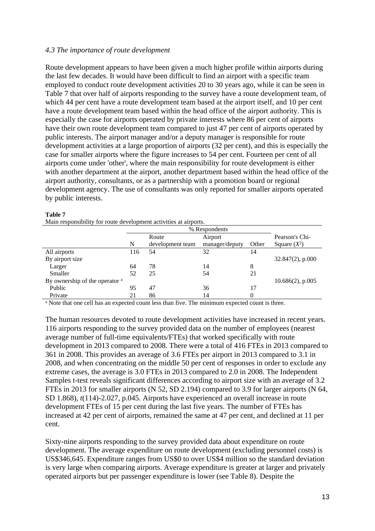## *4.3 The importance of route development*

Route development appears to have been given a much higher profile within airports during the last few decades. It would have been difficult to find an airport with a specific team employed to conduct route development activities 20 to 30 years ago, while it can be seen in Table 7 that over half of airports responding to the survey have a route development team, of which 44 per cent have a route development team based at the airport itself, and 10 per cent have a route development team based within the head office of the airport authority. This is especially the case for airports operated by private interests where 86 per cent of airports have their own route development team compared to just 47 per cent of airports operated by public interests. The airport manager and/or a deputy manager is responsible for route development activities at a large proportion of airports (32 per cent), and this is especially the case for smaller airports where the figure increases to 54 per cent. Fourteen per cent of all airports come under 'other', where the main responsibility for route development is either with another department at the airport, another department based within the head office of the airport authority, consultants, or as a partnership with a promotion board or regional development agency. The use of consultants was only reported for smaller airports operated by public interests.

### **Table 7**

Main responsibility for route development activities at airports.

|                                           |     | % Respondents    |                |          |                     |
|-------------------------------------------|-----|------------------|----------------|----------|---------------------|
|                                           |     | Route            | Airport        |          | Pearson's Chi-      |
|                                           | N   | development team | manager/deputy | Other    | Square $(X^2)$      |
| All airports                              | 116 | 54               | 32             | 14       |                     |
| By airport size                           |     |                  |                |          | $32.847(2)$ , p.000 |
| Larger                                    | 64  | 78               | 14             | 8        |                     |
| Smaller                                   | 52  | 25               | 54             | 21       |                     |
| By ownership of the operator <sup>a</sup> |     |                  |                |          | $10.686(2)$ , p.005 |
| Public                                    | 95  | 47               | 36             | 17       |                     |
| Private                                   | 21  | 86               | 14             | $\theta$ |                     |

<sup>a</sup> Note that one cell has an expected count less than five. The minimum expected count is three.

The human resources devoted to route development activities have increased in recent years. 116 airports responding to the survey provided data on the number of employees (nearest average number of full-time equivalents/FTEs) that worked specifically with route development in 2013 compared to 2008. There were a total of 416 FTEs in 2013 compared to 361 in 2008. This provides an average of 3.6 FTEs per airport in 2013 compared to 3.1 in 2008, and when concentrating on the middle 50 per cent of responses in order to exclude any extreme cases, the average is 3.0 FTEs in 2013 compared to 2.0 in 2008. The Independent Samples t-test reveals significant differences according to airport size with an average of 3.2 FTEs in 2013 for smaller airports (N 52, SD 2.194) compared to 3.9 for larger airports (N 64, SD 1.868), *t*(114)-2.027, p.045. Airports have experienced an overall increase in route development FTEs of 15 per cent during the last five years. The number of FTEs has increased at 42 per cent of airports, remained the same at 47 per cent, and declined at 11 per cent.

Sixty-nine airports responding to the survey provided data about expenditure on route development. The average expenditure on route development (excluding personnel costs) is US\$346,645. Expenditure ranges from US\$0 to over US\$4 million so the standard deviation is very large when comparing airports. Average expenditure is greater at larger and privately operated airports but per passenger expenditure is lower (see Table 8). Despite the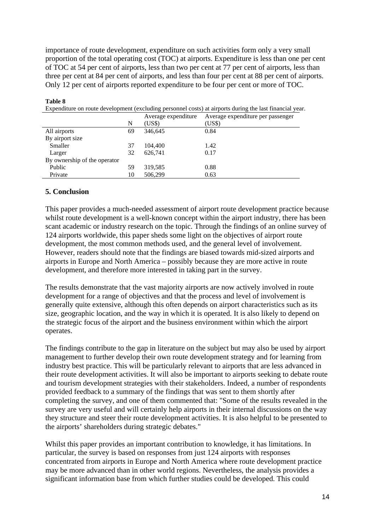importance of route development, expenditure on such activities form only a very small proportion of the total operating cost (TOC) at airports. Expenditure is less than one per cent of TOC at 54 per cent of airports, less than two per cent at 77 per cent of airports, less than three per cent at 84 per cent of airports, and less than four per cent at 88 per cent of airports. Only 12 per cent of airports reported expenditure to be four per cent or more of TOC.

| Expenditure on route development (excluding personnel costs) at airports during the last financial year |    |                     |                                   |  |  |  |  |
|---------------------------------------------------------------------------------------------------------|----|---------------------|-----------------------------------|--|--|--|--|
|                                                                                                         |    | Average expenditure | Average expenditure per passenger |  |  |  |  |
|                                                                                                         | N  | (USS)               | (US\$)                            |  |  |  |  |
| All airports                                                                                            | 69 | 346,645             | 0.84                              |  |  |  |  |
| By airport size                                                                                         |    |                     |                                   |  |  |  |  |
| Smaller                                                                                                 | 37 | 104,400             | 1.42                              |  |  |  |  |
| Larger                                                                                                  | 32 | 626.741             | 0.17                              |  |  |  |  |
| By ownership of the operator                                                                            |    |                     |                                   |  |  |  |  |
| <b>Public</b>                                                                                           | 59 | 319,585             | 0.88                              |  |  |  |  |
| Private                                                                                                 | 10 | 506,299             | 0.63                              |  |  |  |  |

### **Table 8**

Expenditure on route development (excluding personnel costs) at airports during the last financial year.

## **5. Conclusion**

This paper provides a much-needed assessment of airport route development practice because whilst route development is a well-known concept within the airport industry, there has been scant academic or industry research on the topic. Through the findings of an online survey of 124 airports worldwide, this paper sheds some light on the objectives of airport route development, the most common methods used, and the general level of involvement. However, readers should note that the findings are biased towards mid-sized airports and airports in Europe and North America – possibly because they are more active in route development, and therefore more interested in taking part in the survey.

The results demonstrate that the vast majority airports are now actively involved in route development for a range of objectives and that the process and level of involvement is generally quite extensive, although this often depends on airport characteristics such as its size, geographic location, and the way in which it is operated. It is also likely to depend on the strategic focus of the airport and the business environment within which the airport operates.

The findings contribute to the gap in literature on the subject but may also be used by airport management to further develop their own route development strategy and for learning from industry best practice. This will be particularly relevant to airports that are less advanced in their route development activities. It will also be important to airports seeking to debate route and tourism development strategies with their stakeholders. Indeed, a number of respondents provided feedback to a summary of the findings that was sent to them shortly after completing the survey, and one of them commented that: "Some of the results revealed in the survey are very useful and will certainly help airports in their internal discussions on the way they structure and steer their route development activities. It is also helpful to be presented to the airports' shareholders during strategic debates."

Whilst this paper provides an important contribution to knowledge, it has limitations. In particular, the survey is based on responses from just 124 airports with responses concentrated from airports in Europe and North America where route development practice may be more advanced than in other world regions. Nevertheless, the analysis provides a significant information base from which further studies could be developed. This could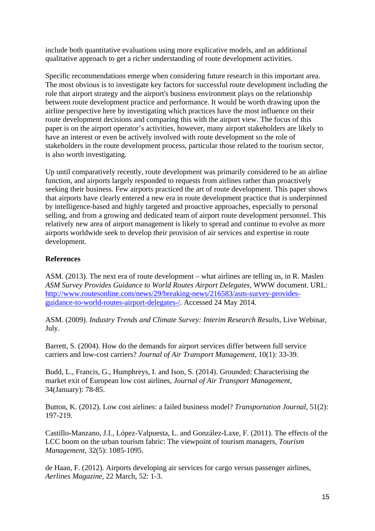include both quantitative evaluations using more explicative models, and an additional qualitative approach to get a richer understanding of route development activities.

Specific recommendations emerge when considering future research in this important area. The most obvious is to investigate key factors for successful route development including the role that airport strategy and the airport's business environment plays on the relationship between route development practice and performance. It would be worth drawing upon the airline perspective here by investigating which practices have the most influence on their route development decisions and comparing this with the airport view. The focus of this paper is on the airport operator's activities, however, many airport stakeholders are likely to have an interest or even be actively involved with route development so the role of stakeholders in the route development process, particular those related to the tourism sector, is also worth investigating.

Up until comparatively recently, route development was primarily considered to be an airline function, and airports largely responded to requests from airlines rather than proactively seeking their business. Few airports practiced the art of route development. This paper shows that airports have clearly entered a new era in route development practice that is underpinned by intelligence-based and highly targeted and proactive approaches, especially to personal selling, and from a growing and dedicated team of airport route development personnel. This relatively new area of airport management is likely to spread and continue to evolve as more airports worldwide seek to develop their provision of air services and expertise in route development.

# **References**

ASM. (2013). The next era of route development – what airlines are telling us, in R. Maslen *ASM Survey Provides Guidance to World Routes Airport Delegates*, WWW document. URL: [http://www.routesonline.com/news/29/breaking-news/216583/asm-survey-provides](http://www.routesonline.com/news/29/breaking-news/216583/asm-survey-provides-guidance-to-world-routes-airport-delegates-/)[guidance-to-world-routes-airport-delegates-/.](http://www.routesonline.com/news/29/breaking-news/216583/asm-survey-provides-guidance-to-world-routes-airport-delegates-/) Accessed 24 May 2014.

ASM. (2009). *Industry Trends and Climate Survey: Interim Research Results*, Live Webinar, July.

Barrett, S. (2004). How do the demands for airport services differ between full service carriers and low-cost carriers? *Journal of Air Transport Management*, 10(1): 33-39.

Budd, L., Francis, G., Humphreys, I. and Ison, S. (2014). Grounded: Characterising the market exit of European low cost airlines, *Journal of Air Transport Management*, 34(January): 78-85.

Button, K. (2012). Low cost airlines: a failed business model? *Transportation Journal*, 51(2): 197-219.

Castillo-Manzano, J.I., López-Valpuesta, L. and González-Laxe, F. (2011). The effects of the LCC boom on the urban tourism fabric: The viewpoint of tourism managers, *Tourism Management*, 32(5): 1085-1095.

de Haan, F. (2012). Airports developing air services for cargo versus passenger airlines, *Aerlines Magazine*, 22 March, 52: 1-3.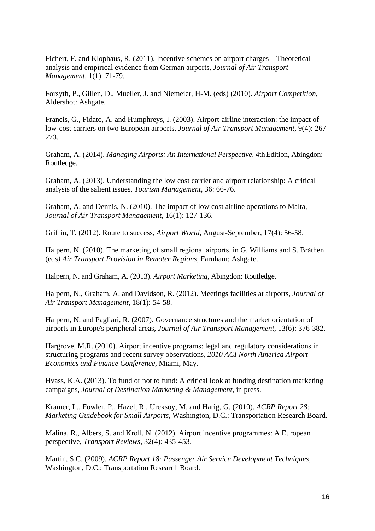Fichert, F. and Klophaus, R. (2011). Incentive schemes on airport charges – Theoretical analysis and empirical evidence from German airports, *Journal of Air Transport Management*, 1(1): 71-79.

Forsyth, P., Gillen, D., Mueller, J. and Niemeier, H-M. (eds) (2010). *Airport Competition*, Aldershot: Ashgate.

Francis, G., Fidato, A. and Humphreys, I. (2003). Airport-airline interaction: the impact of low-cost carriers on two European airports, *Journal of Air Transport Management*, 9(4): 267- 273.

Graham, A. (2014). *Managing Airports: An International Perspective*, 4thEdition, Abingdon: Routledge.

Graham, A. (2013). Understanding the low cost carrier and airport relationship: A critical analysis of the salient issues, *Tourism Management*, 36: 66-76.

Graham, A. and Dennis, N. (2010). The impact of low cost airline operations to Malta, *Journal of Air Transport Management*, 16(1): 127-136.

Griffin, T. (2012). Route to success, *Airport World,* August-September, 17(4): 56-58.

Halpern, N. (2010). The marketing of small regional airports, in G. Williams and S. Bråthen (eds*) Air Transport Provision in Remoter Regions*, Farnham: Ashgate.

Halpern, N. and Graham, A. (2013). *Airport Marketing*, Abingdon: Routledge.

Halpern, N., Graham, A. and Davidson, R. (2012). Meetings facilities at airports, *Journal of Air Transport Management*, 18(1): 54-58.

Halpern, N. and Pagliari, R. (2007). Governance structures and the market orientation of airports in Europe's peripheral areas, *Journal of Air Transport Management*, 13(6): 376-382.

Hargrove, M.R. (2010). Airport incentive programs: legal and regulatory considerations in structuring programs and recent survey observations, *2010 ACI North America Airport Economics and Finance Conference*, Miami, May.

Hvass, K.A. (2013). To fund or not to fund: A critical look at funding destination marketing campaigns, *Journal of Destination Marketing & Management*, in press.

Kramer, L., Fowler, P., Hazel, R., Ureksoy, M. and Harig, G. (2010). *ACRP Report 28: Marketing Guidebook for Small Airports*, Washington, D.C.: Transportation Research Board.

Malina, R., Albers, S. and Kroll, N. (2012). Airport incentive programmes: A European perspective, *Transport Reviews*, 32(4): 435-453.

Martin, S.C. (2009). *ACRP Report 18: Passenger Air Service Development Techniques*, Washington, D.C.: Transportation Research Board.